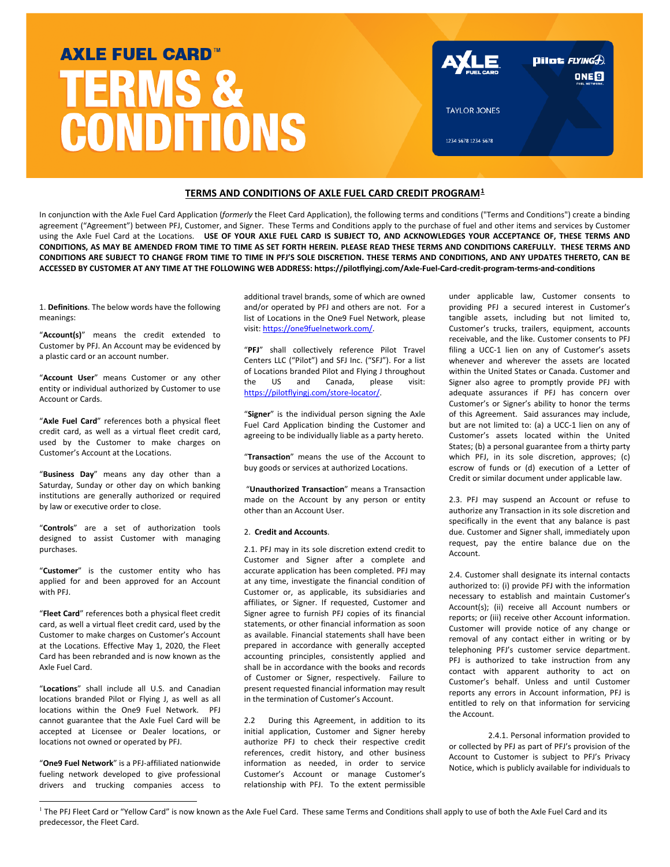# **AXLE FUEL CARD™ TERMS & CONDITIONS**

| <b>AYLE</b>         | <b>Dilot</b> FLYING <sup>2</sup> ).<br><b>ONE<sup>O</sup></b><br><b>FUEL NETWORK</b> |
|---------------------|--------------------------------------------------------------------------------------|
| <b>TAYLOR JONES</b> |                                                                                      |
| 1234 5678 1234 5678 |                                                                                      |
|                     |                                                                                      |

# **TERMS AND CONDITIONS OF AXLE FUEL CARD CREDIT PROGRAM[1](#page-0-0)**

In conjunction with the Axle Fuel Card Application (*formerly* the Fleet Card Application), the following terms and conditions ("Terms and Conditions") create a binding agreement ("Agreement") between PFJ, Customer, and Signer. These Terms and Conditions apply to the purchase of fuel and other items and services by Customer using the Axle Fuel Card at the Locations. **USE OF YOUR AXLE FUEL CARD IS SUBJECT TO, AND ACKNOWLEDGES YOUR ACCEPTANCE OF, THESE TERMS AND CONDITIONS, AS MAY BE AMENDED FROM TIME TO TIME AS SET FORTH HEREIN. PLEASE READ THESE TERMS AND CONDITIONS CAREFULLY. THESE TERMS AND CONDITIONS ARE SUBJECT TO CHANGE FROM TIME TO TIME IN PFJ'S SOLE DISCRETION. THESE TERMS AND CONDITIONS, AND ANY UPDATES THERETO, CAN BE ACCESSED BY CUSTOMER AT ANY TIME AT THE FOLLOWING WEB ADDRESS: https://pilotflyingj.com/Axle-Fuel-Card-credit-program-terms-and-conditions**

1. **Definitions**. The below words have the following meanings:

"**Account(s)**" means the credit extended to Customer by PFJ. An Account may be evidenced by a plastic card or an account number.

"**Account User**" means Customer or any other entity or individual authorized by Customer to use Account or Cards.

"**Axle Fuel Card**" references both a physical fleet credit card, as well as a virtual fleet credit card, used by the Customer to make charges on Customer's Account at the Locations.

"**Business Day**" means any day other than a Saturday, Sunday or other day on which banking institutions are generally authorized or required by law or executive order to close.

"**Controls**" are a set of authorization tools designed to assist Customer with managing purchases.

"**Customer**" is the customer entity who has applied for and been approved for an Account with PFJ.

"**Fleet Card**" references both a physical fleet credit card, as well a virtual fleet credit card, used by the Customer to make charges on Customer's Account at the Locations. Effective May 1, 2020, the Fleet Card has been rebranded and is now known as the Axle Fuel Card.

"**Locations**" shall include all U.S. and Canadian locations branded Pilot or Flying J, as well as all locations within the One9 Fuel Network. PFJ cannot guarantee that the Axle Fuel Card will be accepted at Licensee or Dealer locations, or locations not owned or operated by PFJ.

"**One9 Fuel Network**" is a PFJ-affiliated nationwide fueling network developed to give professional drivers and trucking companies access to additional travel brands, some of which are owned and/or operated by PFJ and others are not. For a list of Locations in the One9 Fuel Network, please visit[: https://one9fuelnetwork.com/.](https://one9fuelnetwork.com/) 

"**PFJ**" shall collectively reference Pilot Travel Centers LLC ("Pilot") and SFJ Inc. ("SFJ"). For a list of Locations branded Pilot and Flying J throughout the US and Canada, please visit: [https://pilotflyingj.com/store-locator/.](https://pilotflyingj.com/store-locator/)

"**Signer**" is the individual person signing the Axle Fuel Card Application binding the Customer and agreeing to be individually liable as a party hereto.

"**Transaction**" means the use of the Account to buy goods or services at authorized Locations.

"**Unauthorized Transaction**" means a Transaction made on the Account by any person or entity other than an Account User.

## 2. **Credit and Accounts**.

2.1. PFJ may in its sole discretion extend credit to Customer and Signer after a complete and accurate application has been completed. PFJ may at any time, investigate the financial condition of Customer or, as applicable, its subsidiaries and affiliates, or Signer. If requested, Customer and Signer agree to furnish PFJ copies of its financial statements, or other financial information as soon as available. Financial statements shall have been prepared in accordance with generally accepted accounting principles, consistently applied and shall be in accordance with the books and records of Customer or Signer, respectively. Failure to present requested financial information may result in the termination of Customer's Account.

2.2 During this Agreement, in addition to its initial application, Customer and Signer hereby authorize PFJ to check their respective credit references, credit history, and other business information as needed, in order to service Customer's Account or manage Customer's relationship with PFJ. To the extent permissible under applicable law, Customer consents to providing PFJ a secured interest in Customer's tangible assets, including but not limited to, Customer's trucks, trailers, equipment, accounts receivable, and the like. Customer consents to PFJ filing a UCC-1 lien on any of Customer's assets whenever and wherever the assets are located within the United States or Canada. Customer and Signer also agree to promptly provide PFJ with adequate assurances if PFJ has concern over Customer's or Signer's ability to honor the terms of this Agreement. Said assurances may include, but are not limited to: (a) a UCC-1 lien on any of Customer's assets located within the United States; (b) a personal guarantee from a thirty party which PFJ, in its sole discretion, approves; (c) escrow of funds or (d) execution of a Letter of Credit or similar document under applicable law.

2.3. PFJ may suspend an Account or refuse to authorize any Transaction in its sole discretion and specifically in the event that any balance is past due. Customer and Signer shall, immediately upon request, pay the entire balance due on the Account.

2.4. Customer shall designate its internal contacts authorized to: (i) provide PFJ with the information necessary to establish and maintain Customer's Account(s); (ii) receive all Account numbers or reports; or (iii) receive other Account information. Customer will provide notice of any change or removal of any contact either in writing or by telephoning PFJ's customer service department. PFJ is authorized to take instruction from any contact with apparent authority to act on Customer's behalf. Unless and until Customer reports any errors in Account information, PFJ is entitled to rely on that information for servicing the Account.

2.4.1. Personal information provided to or collected by PFJ as part of PFJ's provision of the Account to Customer is subject to PFJ's Privacy Notice, which is publicly available for individuals to

<span id="page-0-0"></span><sup>&</sup>lt;sup>1</sup> The PFJ Fleet Card or "Yellow Card" is now known as the Axle Fuel Card. These same Terms and Conditions shall apply to use of both the Axle Fuel Card and its predecessor, the Fleet Card.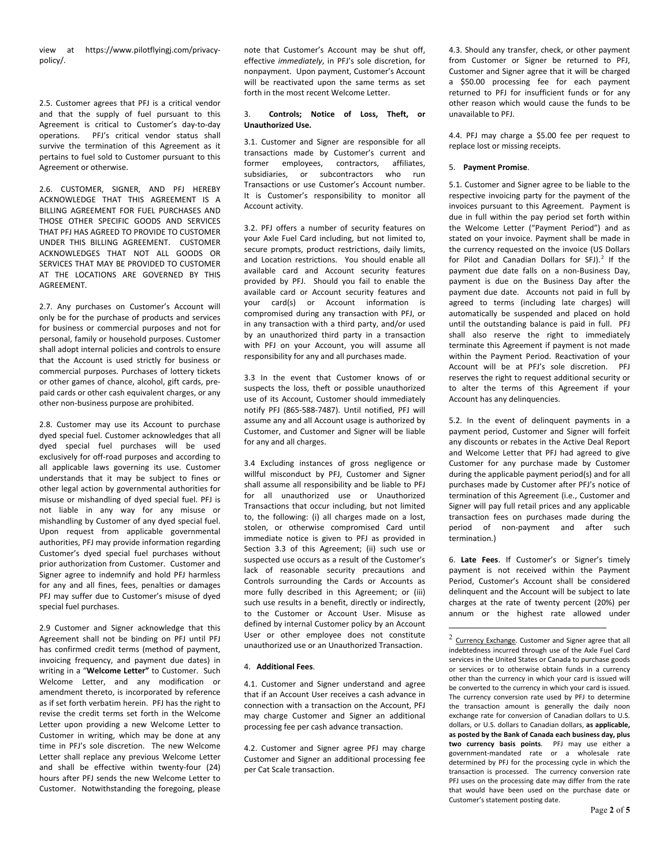view at https://www.pilotflyingj.com/privacypolicy/.

2.5. Customer agrees that PFJ is a critical vendor and that the supply of fuel pursuant to this Agreement is critical to Customer's day-to-day operations. PFJ's critical vendor status shall survive the termination of this Agreement as it pertains to fuel sold to Customer pursuant to this Agreement or otherwise.

2.6. CUSTOMER, SIGNER, AND PFJ HEREBY ACKNOWLEDGE THAT THIS AGREEMENT IS A BILLING AGREEMENT FOR FUEL PURCHASES AND THOSE OTHER SPECIFIC GOODS AND SERVICES THAT PFJ HAS AGREED TO PROVIDE TO CUSTOMER UNDER THIS BILLING AGREEMENT. CUSTOMER ACKNOWLEDGES THAT NOT ALL GOODS OR SERVICES THAT MAY BE PROVIDED TO CUSTOMER AT THE LOCATIONS ARE GOVERNED BY THIS AGREEMENT.

2.7. Any purchases on Customer's Account will only be for the purchase of products and services for business or commercial purposes and not for personal, family or household purposes. Customer shall adopt internal policies and controls to ensure that the Account is used strictly for business or commercial purposes. Purchases of lottery tickets or other games of chance, alcohol, gift cards, prepaid cards or other cash equivalent charges, or any other non-business purpose are prohibited.

2.8. Customer may use its Account to purchase dyed special fuel. Customer acknowledges that all dyed special fuel purchases will be used exclusively for off-road purposes and according to all applicable laws governing its use. Customer understands that it may be subject to fines or other legal action by governmental authorities for misuse or mishandling of dyed special fuel. PFJ is not liable in any way for any misuse or mishandling by Customer of any dyed special fuel. Upon request from applicable governmental authorities, PFJ may provide information regarding Customer's dyed special fuel purchases without prior authorization from Customer. Customer and Signer agree to indemnify and hold PFJ harmless for any and all fines, fees, penalties or damages PFJ may suffer due to Customer's misuse of dyed special fuel purchases.

<span id="page-1-0"></span>2.9 Customer and Signer acknowledge that this Agreement shall not be binding on PFJ until PFJ has confirmed credit terms (method of payment, invoicing frequency, and payment due dates) in writing in a "**Welcome Letter"** to Customer. Such Welcome Letter, and any modification or amendment thereto, is incorporated by reference as if set forth verbatim herein. PFJ has the right to revise the credit terms set forth in the Welcome Letter upon providing a new Welcome Letter to Customer in writing, which may be done at any time in PFJ's sole discretion. The new Welcome Letter shall replace any previous Welcome Letter and shall be effective within twenty-four (24) hours after PFJ sends the new Welcome Letter to Customer. Notwithstanding the foregoing, please

note that Customer's Account may be shut off, effective *immediately*, in PFJ's sole discretion, for nonpayment. Upon payment, Customer's Account will be reactivated upon the same terms as set forth in the most recent Welcome Letter.

## 3. **Controls; Notice of Loss, Theft, or Unauthorized Use.**

3.1. Customer and Signer are responsible for all transactions made by Customer's current and former employees, contractors, affiliates, subsidiaries, or subcontractors who run Transactions or use Customer's Account number. It is Customer's responsibility to monitor all Account activity.

3.2. PFJ offers a number of security features on your Axle Fuel Card including, but not limited to, secure prompts, product restrictions, daily limits, and Location restrictions. You should enable all available card and Account security features provided by PFJ. Should you fail to enable the available card or Account security features and your card(s) or Account information is compromised during any transaction with PFJ, or in any transaction with a third party, and/or used by an unauthorized third party in a transaction with PFJ on your Account, you will assume all responsibility for any and all purchases made.

3.3 In the event that Customer knows of or suspects the loss, theft or possible unauthorized use of its Account, Customer should immediately notify PFJ (865-588-7487). Until notified, PFJ will assume any and all Account usage is authorized by Customer, and Customer and Signer will be liable for any and all charges.

3.4 Excluding instances of gross negligence or willful misconduct by PFJ, Customer and Signer shall assume all responsibility and be liable to PFJ for all unauthorized use or Unauthorized Transactions that occur including, but not limited to, the following: (i) all charges made on a lost, stolen, or otherwise compromised Card until immediate notice is given to PFJ as provided in Section 3.3 of this Agreement; (ii) such use or suspected use occurs as a result of the Customer's lack of reasonable security precautions and Controls surrounding the Cards or Accounts as more fully described in this Agreement; or (iii) such use results in a benefit, directly or indirectly, to the Customer or Account User. Misuse as defined by internal Customer policy by an Account User or other employee does not constitute unauthorized use or an Unauthorized Transaction.

## 4. **Additional Fees**.

4.1. Customer and Signer understand and agree that if an Account User receives a cash advance in connection with a transaction on the Account, PFJ may charge Customer and Signer an additional processing fee per cash advance transaction.

4.2. Customer and Signer agree PFJ may charge Customer and Signer an additional processing fee per Cat Scale transaction.

4.3. Should any transfer, check, or other payment from Customer or Signer be returned to PFJ, Customer and Signer agree that it will be charged a \$50.00 processing fee for each payment returned to PFJ for insufficient funds or for any other reason which would cause the funds to be unavailable to PFJ.

4.4. PFJ may charge a \$5.00 fee per request to replace lost or missing receipts.

## 5. **Payment Promise**.

5.1. Customer and Signer agree to be liable to the respective invoicing party for the payment of the invoices pursuant to this Agreement. Payment is due in full within the pay period set forth within the Welcome Letter ("Payment Period") and as stated on your invoice. Payment shall be made in the currency requested on the invoice (US Dollars for Pilot and Canadian Dollars for  $SFJ$ ).<sup>[2](#page-1-0)</sup> If the payment due date falls on a non-Business Day, payment is due on the Business Day after the payment due date. Accounts not paid in full by agreed to terms (including late charges) will automatically be suspended and placed on hold until the outstanding balance is paid in full. PFJ shall also reserve the right to immediately terminate this Agreement if payment is not made within the Payment Period. Reactivation of your Account will be at PFJ's sole discretion. PFJ reserves the right to request additional security or to alter the terms of this Agreement if your Account has any delinquencies.

5.2. In the event of delinquent payments in a payment period, Customer and Signer will forfeit any discounts or rebates in the Active Deal Report and Welcome Letter that PFJ had agreed to give Customer for any purchase made by Customer during the applicable payment period(s) and for all purchases made by Customer after PFJ's notice of termination of this Agreement (i.e., Customer and Signer will pay full retail prices and any applicable transaction fees on purchases made during the period of non-payment and after such termination.)

6. **Late Fees**. If Customer's or Signer's timely payment is not received within the Payment Period, Customer's Account shall be considered delinquent and the Account will be subject to late charges at the rate of twenty percent (20%) per annum or the highest rate allowed under

 $2$  Currency Exchange. Customer and Signer agree that all indebtedness incurred through use of the Axle Fuel Card services in the United States or Canada to purchase goods or services or to otherwise obtain funds in a currency other than the currency in which your card is issued will be converted to the currency in which your card is issued. The currency conversion rate used by PFJ to determine the transaction amount is generally the daily noon exchange rate for conversion of Canadian dollars to U.S. dollars, or U.S. dollars to Canadian dollars, **as applicable, as posted by the Bank of Canada each business day, plus two currency basis points**. PFJ may use either a government-mandated rate or a wholesale rate determined by PFJ for the processing cycle in which the transaction is processed. The currency conversion rate PFJ uses on the processing date may differ from the rate that would have been used on the purchase date or Customer's statement posting date.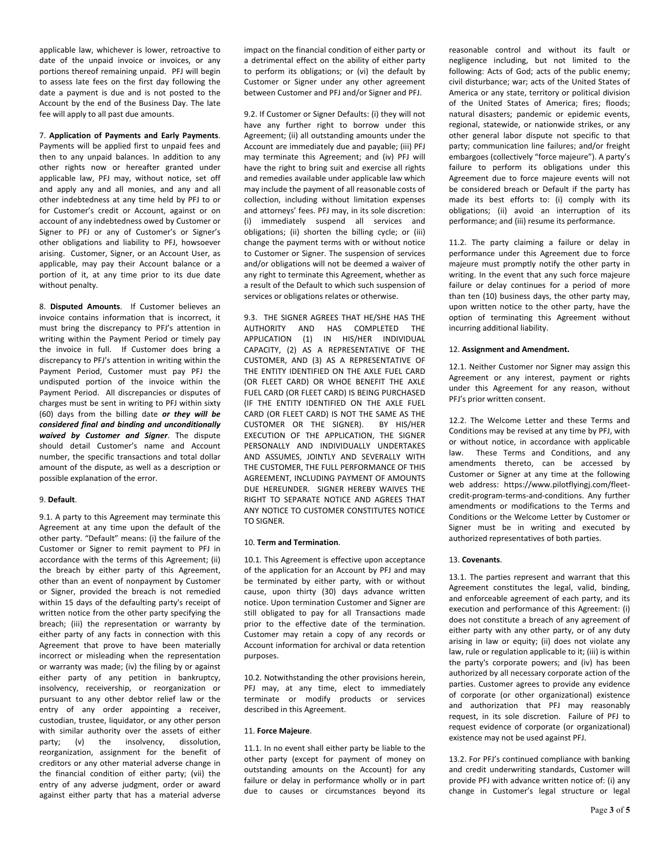applicable law, whichever is lower, retroactive to date of the unpaid invoice or invoices, or any portions thereof remaining unpaid. PFJ will begin to assess late fees on the first day following the date a payment is due and is not posted to the Account by the end of the Business Day. The late fee will apply to all past due amounts.

#### 7. **Application of Payments and Early Payments**.

Payments will be applied first to unpaid fees and then to any unpaid balances. In addition to any other rights now or hereafter granted under applicable law, PFJ may, without notice, set off and apply any and all monies, and any and all other indebtedness at any time held by PFJ to or for Customer's credit or Account, against or on account of any indebtedness owed by Customer or Signer to PFJ or any of Customer's or Signer's other obligations and liability to PFJ, howsoever arising. Customer, Signer, or an Account User, as applicable, may pay their Account balance or a portion of it, at any time prior to its due date without penalty.

8. **Disputed Amounts**. If Customer believes an invoice contains information that is incorrect, it must bring the discrepancy to PFJ's attention in writing within the Payment Period or timely pay the invoice in full. If Customer does bring a discrepancy to PFJ's attention in writing within the Payment Period, Customer must pay PFJ the undisputed portion of the invoice within the Payment Period. All discrepancies or disputes of charges must be sent in writing to PFJ within sixty (60) days from the billing date *or they will be considered final and binding and unconditionally waived by Customer and Signer*. The dispute should detail Customer's name and Account number, the specific transactions and total dollar amount of the dispute, as well as a description or possible explanation of the error.

## 9. **Default**.

9.1. A party to this Agreement may terminate this Agreement at any time upon the default of the other party. "Default" means: (i) the failure of the Customer or Signer to remit payment to PFJ in accordance with the terms of this Agreement; (ii) the breach by either party of this Agreement, other than an event of nonpayment by Customer or Signer, provided the breach is not remedied within 15 days of the defaulting party's receipt of written notice from the other party specifying the breach; (iii) the representation or warranty by either party of any facts in connection with this Agreement that prove to have been materially incorrect or misleading when the representation or warranty was made; (iv) the filing by or against either party of any petition in bankruptcy, insolvency, receivership, or reorganization or pursuant to any other debtor relief law or the entry of any order appointing a receiver, custodian, trustee, liquidator, or any other person with similar authority over the assets of either party; (v) the insolvency, dissolution, reorganization, assignment for the benefit of creditors or any other material adverse change in the financial condition of either party; (vii) the entry of any adverse judgment, order or award against either party that has a material adverse

impact on the financial condition of either party or a detrimental effect on the ability of either party to perform its obligations; or (vi) the default by Customer or Signer under any other agreement between Customer and PFJ and/or Signer and PFJ.

9.2. If Customer or Signer Defaults: (i) they will not have any further right to borrow under this Agreement; (ii) all outstanding amounts under the Account are immediately due and payable; (iii) PFJ may terminate this Agreement; and (iv) PFJ will have the right to bring suit and exercise all rights and remedies available under applicable law which may include the payment of all reasonable costs of collection, including without limitation expenses and attorneys' fees. PFJ may, in its sole discretion: (i) immediately suspend all services and obligations; (ii) shorten the billing cycle; or (iii) change the payment terms with or without notice to Customer or Signer. The suspension of services and/or obligations will not be deemed a waiver of any right to terminate this Agreement, whether as a result of the Default to which such suspension of services or obligations relates or otherwise.

9.3. THE SIGNER AGREES THAT HE/SHE HAS THE AUTHORITY AND HAS COMPLETED THE APPLICATION (1) IN HIS/HER INDIVIDUAL CAPACITY, (2) AS A REPRESENTATIVE OF THE CUSTOMER, AND (3) AS A REPRESENTATIVE OF THE ENTITY IDENTIFIED ON THE AXLE FUEL CARD (OR FLEET CARD) OR WHOE BENEFIT THE AXLE FUEL CARD (OR FLEET CARD) IS BEING PURCHASED (IF THE ENTITY IDENTIFIED ON THE AXLE FUEL CARD (OR FLEET CARD) IS NOT THE SAME AS THE CUSTOMER OR THE SIGNER). BY HIS/HER EXECUTION OF THE APPLICATION, THE SIGNER PERSONALLY AND INDIVIDUALLY UNDERTAKES AND ASSUMES, JOINTLY AND SEVERALLY WITH THE CUSTOMER, THE FULL PERFORMANCE OF THIS AGREEMENT, INCLUDING PAYMENT OF AMOUNTS DUE HEREUNDER. SIGNER HEREBY WAIVES THE RIGHT TO SEPARATE NOTICE AND AGREES THAT ANY NOTICE TO CUSTOMER CONSTITUTES NOTICE TO SIGNER.

#### 10. **Term and Termination**.

10.1. This Agreement is effective upon acceptance of the application for an Account by PFJ and may be terminated by either party, with or without cause, upon thirty (30) days advance written notice. Upon termination Customer and Signer are still obligated to pay for all Transactions made prior to the effective date of the termination. Customer may retain a copy of any records or Account information for archival or data retention purposes.

10.2. Notwithstanding the other provisions herein, PFJ may, at any time, elect to immediately terminate or modify products or services described in this Agreement.

#### 11. **Force Majeure**.

11.1. In no event shall either party be liable to the other party (except for payment of money on outstanding amounts on the Account) for any failure or delay in performance wholly or in part due to causes or circumstances beyond its reasonable control and without its fault or negligence including, but not limited to the following: Acts of God; acts of the public enemy; civil disturbance; war; acts of the United States of America or any state, territory or political division of the United States of America; fires; floods; natural disasters; pandemic or epidemic events, regional, statewide, or nationwide strikes, or any other general labor dispute not specific to that party; communication line failures; and/or freight embargoes (collectively "force majeure"). A party's failure to perform its obligations under this Agreement due to force majeure events will not be considered breach or Default if the party has made its best efforts to: (i) comply with its obligations; (ii) avoid an interruption of its performance; and (iii) resume its performance.

11.2. The party claiming a failure or delay in performance under this Agreement due to force majeure must promptly notify the other party in writing. In the event that any such force majeure failure or delay continues for a period of more than ten (10) business days, the other party may, upon written notice to the other party, have the option of terminating this Agreement without incurring additional liability.

#### 12. **Assignment and Amendment.**

12.1. Neither Customer nor Signer may assign this Agreement or any interest, payment or rights under this Agreement for any reason, without PFJ's prior written consent.

12.2. The Welcome Letter and these Terms and Conditions may be revised at any time by PFJ, with or without notice, in accordance with applicable law. These Terms and Conditions, and any amendments thereto, can be accessed by Customer or Signer at any time at the following web address: https://www.pilotflyingj.com/fleetcredit-program-terms-and-conditions. Any further amendments or modifications to the Terms and Conditions or the Welcome Letter by Customer or Signer must be in writing and executed by authorized representatives of both parties.

#### 13. **Covenants**.

13.1. The parties represent and warrant that this Agreement constitutes the legal, valid, binding, and enforceable agreement of each party, and its execution and performance of this Agreement: (i) does not constitute a breach of any agreement of either party with any other party, or of any duty arising in law or equity; (ii) does not violate any law, rule or regulation applicable to it; (iii) is within the party's corporate powers; and (iv) has been authorized by all necessary corporate action of the parties. Customer agrees to provide any evidence of corporate (or other organizational) existence and authorization that PFJ may reasonably request, in its sole discretion. Failure of PFJ to request evidence of corporate (or organizational) existence may not be used against PFJ.

13.2. For PFJ's continued compliance with banking and credit underwriting standards, Customer will provide PFJ with advance written notice of: (i) any change in Customer's legal structure or legal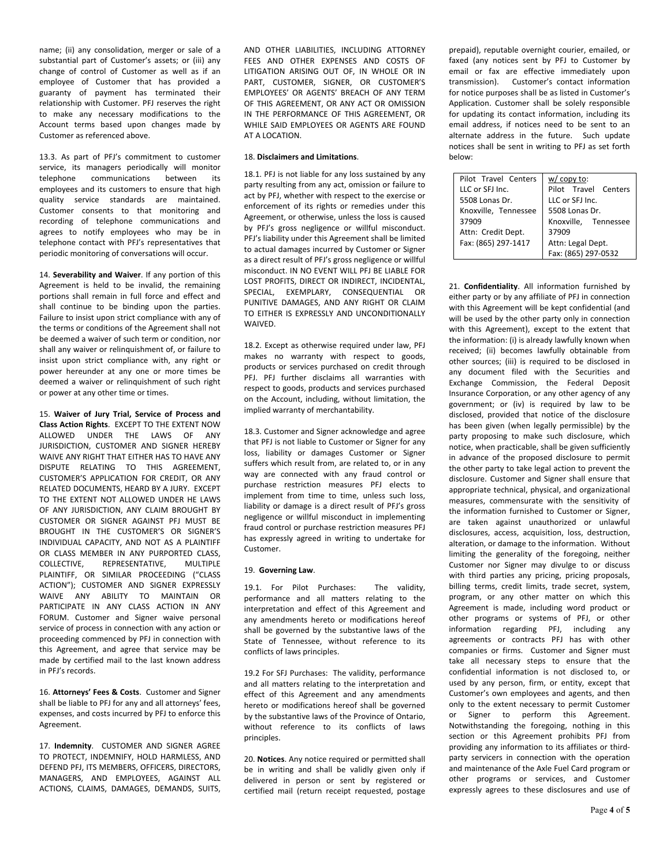name; (ii) any consolidation, merger or sale of a substantial part of Customer's assets; or (iii) any change of control of Customer as well as if an employee of Customer that has provided a guaranty of payment has terminated their relationship with Customer. PFJ reserves the right to make any necessary modifications to the Account terms based upon changes made by Customer as referenced above.

13.3. As part of PFJ's commitment to customer service, its managers periodically will monitor telephone communications between its employees and its customers to ensure that high quality service standards are maintained. Customer consents to that monitoring and recording of telephone communications and agrees to notify employees who may be in telephone contact with PFJ's representatives that periodic monitoring of conversations will occur.

14. **Severability and Waiver**. If any portion of this Agreement is held to be invalid, the remaining portions shall remain in full force and effect and shall continue to be binding upon the parties. Failure to insist upon strict compliance with any of the terms or conditions of the Agreement shall not be deemed a waiver of such term or condition, nor shall any waiver or relinquishment of, or failure to insist upon strict compliance with, any right or power hereunder at any one or more times be deemed a waiver or relinquishment of such right or power at any other time or times.

15. **Waiver of Jury Trial, Service of Process and Class Action Rights**. EXCEPT TO THE EXTENT NOW ALLOWED UNDER THE LAWS OF ANY JURISDICTION, CUSTOMER AND SIGNER HEREBY WAIVE ANY RIGHT THAT EITHER HAS TO HAVE ANY DISPUTE RELATING TO THIS AGREEMENT, CUSTOMER'S APPLICATION FOR CREDIT, OR ANY RELATED DOCUMENTS, HEARD BY A JURY. EXCEPT TO THE EXTENT NOT ALLOWED UNDER HE LAWS OF ANY JURISDICTION, ANY CLAIM BROUGHT BY CUSTOMER OR SIGNER AGAINST PFJ MUST BE BROUGHT IN THE CUSTOMER'S OR SIGNER'S INDIVIDUAL CAPACITY, AND NOT AS A PLAINTIFF OR CLASS MEMBER IN ANY PURPORTED CLASS, COLLECTIVE, REPRESENTATIVE, MULTIPLE PLAINTIFF, OR SIMILAR PROCEEDING ("CLASS ACTION"); CUSTOMER AND SIGNER EXPRESSLY WAIVE ANY ABILITY TO MAINTAIN OR PARTICIPATE IN ANY CLASS ACTION IN ANY FORUM. Customer and Signer waive personal service of process in connection with any action or proceeding commenced by PFJ in connection with this Agreement, and agree that service may be made by certified mail to the last known address in PFJ's records.

16. **Attorneys' Fees & Costs**. Customer and Signer shall be liable to PFJ for any and all attorneys' fees, expenses, and costs incurred by PFJ to enforce this Agreement.

17. **Indemnity**. CUSTOMER AND SIGNER AGREE TO PROTECT, INDEMNIFY, HOLD HARMLESS, AND DEFEND PFJ, ITS MEMBERS, OFFICERS, DIRECTORS, MANAGERS, AND EMPLOYEES, AGAINST ALL ACTIONS, CLAIMS, DAMAGES, DEMANDS, SUITS,

AND OTHER LIABILITIES, INCLUDING ATTORNEY FEES AND OTHER EXPENSES AND COSTS OF LITIGATION ARISING OUT OF, IN WHOLE OR IN PART, CUSTOMER, SIGNER, OR CUSTOMER'S EMPLOYEES' OR AGENTS' BREACH OF ANY TERM OF THIS AGREEMENT, OR ANY ACT OR OMISSION IN THE PERFORMANCE OF THIS AGREEMENT, OR WHILE SAID EMPLOYEES OR AGENTS ARE FOUND AT A LOCATION.

## 18. **Disclaimers and Limitations**.

18.1. PFJ is not liable for any loss sustained by any party resulting from any act, omission or failure to act by PFJ, whether with respect to the exercise or enforcement of its rights or remedies under this Agreement, or otherwise, unless the loss is caused by PFJ's gross negligence or willful misconduct. PFJ's liability under this Agreement shall be limited to actual damages incurred by Customer or Signer as a direct result of PFJ's gross negligence or willful misconduct. IN NO EVENT WILL PFJ BE LIABLE FOR LOST PROFITS, DIRECT OR INDIRECT, INCIDENTAL, SPECIAL, EXEMPLARY, CONSEQUENTIAL OR PUNITIVE DAMAGES, AND ANY RIGHT OR CLAIM TO EITHER IS EXPRESSLY AND UNCONDITIONALLY **WAIVED.** 

18.2. Except as otherwise required under law, PFJ makes no warranty with respect to goods, products or services purchased on credit through PFJ. PFJ further disclaims all warranties with respect to goods, products and services purchased on the Account, including, without limitation, the implied warranty of merchantability.

18.3. Customer and Signer acknowledge and agree that PFJ is not liable to Customer or Signer for any loss, liability or damages Customer or Signer suffers which result from, are related to, or in any way are connected with any fraud control or purchase restriction measures PFJ elects to implement from time to time, unless such loss, liability or damage is a direct result of PFJ's gross negligence or willful misconduct in implementing fraud control or purchase restriction measures PFJ has expressly agreed in writing to undertake for Customer.

## 19. **Governing Law**.

19.1. For Pilot Purchases: The validity, performance and all matters relating to the interpretation and effect of this Agreement and any amendments hereto or modifications hereof shall be governed by the substantive laws of the State of Tennessee, without reference to its conflicts of laws principles.

19.2 For SFJ Purchases: The validity, performance and all matters relating to the interpretation and effect of this Agreement and any amendments hereto or modifications hereof shall be governed by the substantive laws of the Province of Ontario, without reference to its conflicts of laws principles.

20. **Notices**. Any notice required or permitted shall be in writing and shall be validly given only if delivered in person or sent by registered or certified mail (return receipt requested, postage prepaid), reputable overnight courier, emailed, or faxed (any notices sent by PFJ to Customer by email or fax are effective immediately upon transmission). Customer's contact information for notice purposes shall be as listed in Customer's Application. Customer shall be solely responsible for updating its contact information, including its email address, if notices need to be sent to an alternate address in the future. Such update notices shall be sent in writing to PFJ as set forth below:

| Pilot Travel Centers | $w /$ copy to:       |
|----------------------|----------------------|
| LLC or SFJ Inc.      | Pilot Travel Centers |
| 5508 Lonas Dr.       | LLC or SFJ Inc.      |
| Knoxville, Tennessee | 5508 Lonas Dr.       |
| 37909                | Knoxville, Tennessee |
| Attn: Credit Dept.   | 37909                |
| Fax: (865) 297-1417  | Attn: Legal Dept.    |
|                      | Fax: (865) 297-0532  |

21. **Confidentiality**. All information furnished by either party or by any affiliate of PFJ in connection with this Agreement will be kept confidential (and will be used by the other party only in connection with this Agreement), except to the extent that the information: (i) is already lawfully known when received; (ii) becomes lawfully obtainable from other sources; (iii) is required to be disclosed in any document filed with the Securities and Exchange Commission, the Federal Deposit Insurance Corporation, or any other agency of any government; or (iv) is required by law to be disclosed, provided that notice of the disclosure has been given (when legally permissible) by the party proposing to make such disclosure, which notice, when practicable, shall be given sufficiently in advance of the proposed disclosure to permit the other party to take legal action to prevent the disclosure. Customer and Signer shall ensure that appropriate technical, physical, and organizational measures, commensurate with the sensitivity of the information furnished to Customer or Signer, are taken against unauthorized or unlawful disclosures, access, acquisition, loss, destruction, alteration, or damage to the information. Without limiting the generality of the foregoing, neither Customer nor Signer may divulge to or discuss with third parties any pricing, pricing proposals, billing terms, credit limits, trade secret, system, program, or any other matter on which this Agreement is made, including word product or other programs or systems of PFJ, or other information regarding PFJ, including any agreements or contracts PFJ has with other companies or firms. Customer and Signer must take all necessary steps to ensure that the confidential information is not disclosed to, or used by any person, firm, or entity, except that Customer's own employees and agents, and then only to the extent necessary to permit Customer or Signer to perform this Agreement. Notwithstanding the foregoing, nothing in this section or this Agreement prohibits PFJ from providing any information to its affiliates or thirdparty servicers in connection with the operation and maintenance of the Axle Fuel Card program or other programs or services, and Customer expressly agrees to these disclosures and use of